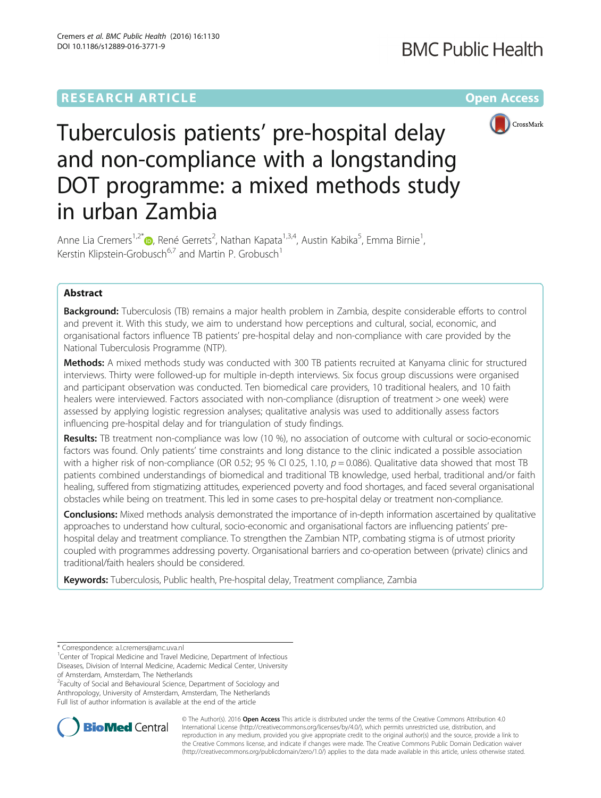# **RESEARCH ARTICLE Example 2014 12:30 The Community Community Community Community Community Community Community**



Tuberculosis patients' pre-hospital delay and non-compliance with a longstanding DOT programme: a mixed methods study in urban Zambia

Anne Lia Cremers<sup>1[,](http://orcid.org/0000-0002-9602-0940)2\*</sup>®, René Gerrets<sup>2</sup>, Nathan Kapata<sup>1,3,4</sup>, Austin Kabika<sup>5</sup>, Emma Birnie<sup>1</sup> , Kerstin Klipstein-Grobusch<sup>6,7</sup> and Martin P. Grobusch<sup>1</sup>

# Abstract

**Background:** Tuberculosis (TB) remains a major health problem in Zambia, despite considerable efforts to control and prevent it. With this study, we aim to understand how perceptions and cultural, social, economic, and organisational factors influence TB patients' pre-hospital delay and non-compliance with care provided by the National Tuberculosis Programme (NTP).

Methods: A mixed methods study was conducted with 300 TB patients recruited at Kanyama clinic for structured interviews. Thirty were followed-up for multiple in-depth interviews. Six focus group discussions were organised and participant observation was conducted. Ten biomedical care providers, 10 traditional healers, and 10 faith healers were interviewed. Factors associated with non-compliance (disruption of treatment > one week) were assessed by applying logistic regression analyses; qualitative analysis was used to additionally assess factors influencing pre-hospital delay and for triangulation of study findings.

Results: TB treatment non-compliance was low (10 %), no association of outcome with cultural or socio-economic factors was found. Only patients' time constraints and long distance to the clinic indicated a possible association with a higher risk of non-compliance (OR 0.52; 95 % CI 0.25, 1.10,  $p = 0.086$ ). Qualitative data showed that most TB patients combined understandings of biomedical and traditional TB knowledge, used herbal, traditional and/or faith healing, suffered from stigmatizing attitudes, experienced poverty and food shortages, and faced several organisational obstacles while being on treatment. This led in some cases to pre-hospital delay or treatment non-compliance.

Conclusions: Mixed methods analysis demonstrated the importance of in-depth information ascertained by qualitative approaches to understand how cultural, socio-economic and organisational factors are influencing patients' prehospital delay and treatment compliance. To strengthen the Zambian NTP, combating stigma is of utmost priority coupled with programmes addressing poverty. Organisational barriers and co-operation between (private) clinics and traditional/faith healers should be considered.

Keywords: Tuberculosis, Public health, Pre-hospital delay, Treatment compliance, Zambia

<sup>2</sup> Faculty of Social and Behavioural Science, Department of Sociology and Anthropology, University of Amsterdam, Amsterdam, The Netherlands Full list of author information is available at the end of the article



© The Author(s). 2016 Open Access This article is distributed under the terms of the Creative Commons Attribution 4.0 International License [\(http://creativecommons.org/licenses/by/4.0/](http://creativecommons.org/licenses/by/4.0/)), which permits unrestricted use, distribution, and reproduction in any medium, provided you give appropriate credit to the original author(s) and the source, provide a link to the Creative Commons license, and indicate if changes were made. The Creative Commons Public Domain Dedication waiver [\(http://creativecommons.org/publicdomain/zero/1.0/](http://creativecommons.org/publicdomain/zero/1.0/)) applies to the data made available in this article, unless otherwise stated.

<sup>\*</sup> Correspondence: [a.l.cremers@amc.uva.nl](mailto:a.l.cremers@amc.uva.nl) <sup>1</sup>

<sup>&</sup>lt;sup>1</sup> Center of Tropical Medicine and Travel Medicine, Department of Infectious Diseases, Division of Internal Medicine, Academic Medical Center, University of Amsterdam, Amsterdam, The Netherlands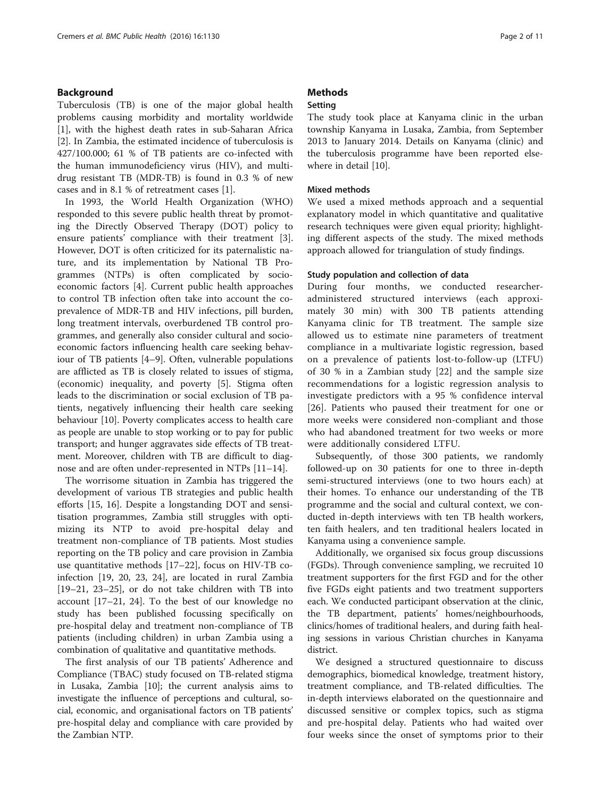# Background

Tuberculosis (TB) is one of the major global health problems causing morbidity and mortality worldwide [[1\]](#page-9-0), with the highest death rates in sub-Saharan Africa [[2\]](#page-9-0). In Zambia, the estimated incidence of tuberculosis is 427/100.000; 61 % of TB patients are co-infected with the human immunodeficiency virus (HIV), and multidrug resistant TB (MDR-TB) is found in 0.3 % of new cases and in 8.1 % of retreatment cases [[1\]](#page-9-0).

In 1993, the World Health Organization (WHO) responded to this severe public health threat by promoting the Directly Observed Therapy (DOT) policy to ensure patients' compliance with their treatment [\[3](#page-9-0)]. However, DOT is often criticized for its paternalistic nature, and its implementation by National TB Programmes (NTPs) is often complicated by socioeconomic factors [\[4](#page-9-0)]. Current public health approaches to control TB infection often take into account the coprevalence of MDR-TB and HIV infections, pill burden, long treatment intervals, overburdened TB control programmes, and generally also consider cultural and socioeconomic factors influencing health care seeking behaviour of TB patients [\[4](#page-9-0)–[9\]](#page-9-0). Often, vulnerable populations are afflicted as TB is closely related to issues of stigma, (economic) inequality, and poverty [[5\]](#page-9-0). Stigma often leads to the discrimination or social exclusion of TB patients, negatively influencing their health care seeking behaviour [\[10\]](#page-9-0). Poverty complicates access to health care as people are unable to stop working or to pay for public transport; and hunger aggravates side effects of TB treatment. Moreover, children with TB are difficult to diagnose and are often under-represented in NTPs [\[11](#page-9-0)–[14\]](#page-9-0).

The worrisome situation in Zambia has triggered the development of various TB strategies and public health efforts [[15, 16](#page-9-0)]. Despite a longstanding DOT and sensitisation programmes, Zambia still struggles with optimizing its NTP to avoid pre-hospital delay and treatment non-compliance of TB patients. Most studies reporting on the TB policy and care provision in Zambia use quantitative methods [\[17](#page-9-0)–[22](#page-9-0)], focus on HIV-TB coinfection [[19](#page-9-0), [20](#page-9-0), [23](#page-9-0), [24\]](#page-9-0), are located in rural Zambia [[19](#page-9-0)–[21](#page-9-0), [23](#page-9-0)–[25\]](#page-9-0), or do not take children with TB into account [\[17](#page-9-0)–[21, 24](#page-9-0)]. To the best of our knowledge no study has been published focussing specifically on pre-hospital delay and treatment non-compliance of TB patients (including children) in urban Zambia using a combination of qualitative and quantitative methods.

The first analysis of our TB patients' Adherence and Compliance (TBAC) study focused on TB-related stigma in Lusaka, Zambia [\[10\]](#page-9-0); the current analysis aims to investigate the influence of perceptions and cultural, social, economic, and organisational factors on TB patients' pre-hospital delay and compliance with care provided by the Zambian NTP.

# **Methods**

# Setting

The study took place at Kanyama clinic in the urban township Kanyama in Lusaka, Zambia, from September 2013 to January 2014. Details on Kanyama (clinic) and the tuberculosis programme have been reported elsewhere in detail [[10](#page-9-0)].

# Mixed methods

We used a mixed methods approach and a sequential explanatory model in which quantitative and qualitative research techniques were given equal priority; highlighting different aspects of the study. The mixed methods approach allowed for triangulation of study findings.

# Study population and collection of data

During four months, we conducted researcheradministered structured interviews (each approximately 30 min) with 300 TB patients attending Kanyama clinic for TB treatment. The sample size allowed us to estimate nine parameters of treatment compliance in a multivariate logistic regression, based on a prevalence of patients lost-to-follow-up (LTFU) of 30 % in a Zambian study [\[22](#page-9-0)] and the sample size recommendations for a logistic regression analysis to investigate predictors with a 95 % confidence interval [[26\]](#page-9-0). Patients who paused their treatment for one or more weeks were considered non-compliant and those who had abandoned treatment for two weeks or more were additionally considered LTFU.

Subsequently, of those 300 patients, we randomly followed-up on 30 patients for one to three in-depth semi-structured interviews (one to two hours each) at their homes. To enhance our understanding of the TB programme and the social and cultural context, we conducted in-depth interviews with ten TB health workers, ten faith healers, and ten traditional healers located in Kanyama using a convenience sample.

Additionally, we organised six focus group discussions (FGDs). Through convenience sampling, we recruited 10 treatment supporters for the first FGD and for the other five FGDs eight patients and two treatment supporters each. We conducted participant observation at the clinic, the TB department, patients' homes/neighbourhoods, clinics/homes of traditional healers, and during faith healing sessions in various Christian churches in Kanyama district.

We designed a structured questionnaire to discuss demographics, biomedical knowledge, treatment history, treatment compliance, and TB-related difficulties. The in-depth interviews elaborated on the questionnaire and discussed sensitive or complex topics, such as stigma and pre-hospital delay. Patients who had waited over four weeks since the onset of symptoms prior to their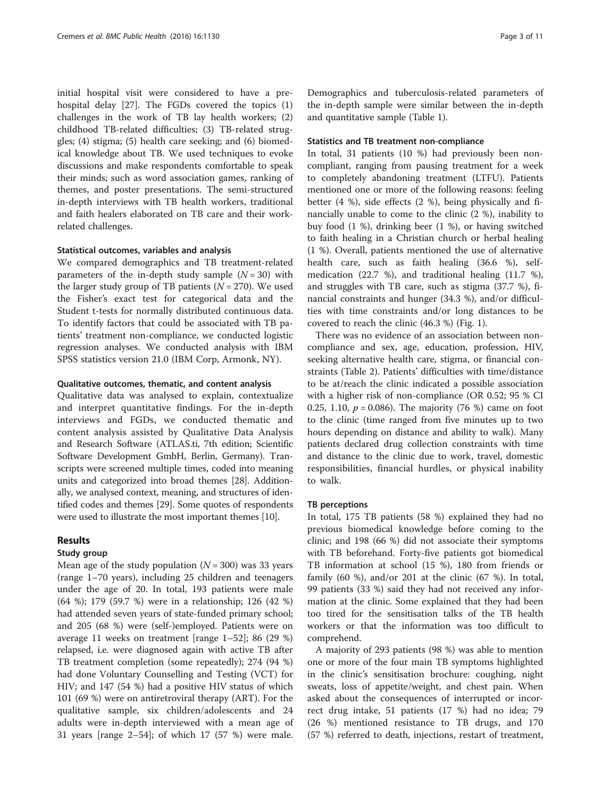initial hospital visit were considered to have a prehospital delay [[27\]](#page-9-0). The FGDs covered the topics (1) challenges in the work of TB lay health workers; (2) childhood TB-related difficulties; (3) TB-related struggles; (4) stigma; (5) health care seeking; and (6) biomedical knowledge about TB. We used techniques to evoke discussions and make respondents comfortable to speak their minds; such as word association games, ranking of themes, and poster presentations. The semi-structured in-depth interviews with TB health workers, traditional and faith healers elaborated on TB care and their workrelated challenges.

## Statistical outcomes, variables and analysis

We compared demographics and TB treatment-related parameters of the in-depth study sample  $(N = 30)$  with the larger study group of TB patients ( $N = 270$ ). We used the Fisher's exact test for categorical data and the Student t-tests for normally distributed continuous data. To identify factors that could be associated with TB patients' treatment non-compliance, we conducted logistic regression analyses. We conducted analysis with IBM SPSS statistics version 21.0 (IBM Corp, Armonk, NY).

## Qualitative outcomes, thematic, and content analysis

Qualitative data was analysed to explain, contextualize and interpret quantitative findings. For the in-depth interviews and FGDs, we conducted thematic and content analysis assisted by Qualitative Data Analysis and Research Software (ATLAS.ti, 7th edition; Scientific Software Development GmbH, Berlin, Germany). Transcripts were screened multiple times, coded into meaning units and categorized into broad themes [\[28](#page-9-0)]. Additionally, we analysed context, meaning, and structures of identified codes and themes [\[29\]](#page-9-0). Some quotes of respondents were used to illustrate the most important themes [\[10\]](#page-9-0).

# Results

# Study group

Mean age of the study population  $(N = 300)$  was 33 years (range 1–70 years), including 25 children and teenagers under the age of 20. In total, 193 patients were male (64 %); 179 (59.7 %) were in a relationship; 126 (42 %) had attended seven years of state-funded primary school; and 205 (68 %) were (self-)employed. Patients were on average 11 weeks on treatment [range 1–52]; 86 (29 %) relapsed, i.e. were diagnosed again with active TB after TB treatment completion (some repeatedly); 274 (94 %) had done Voluntary Counselling and Testing (VCT) for HIV; and 147 (54 %) had a positive HIV status of which 101 (69 %) were on antiretroviral therapy (ART). For the qualitative sample, six children/adolescents and 24 adults were in-depth interviewed with a mean age of 31 years [range 2–54]; of which 17 (57 %) were male.

Demographics and tuberculosis-related parameters of the in-depth sample were similar between the in-depth and quantitative sample (Table [1\)](#page-3-0).

## Statistics and TB treatment non-compliance

In total, 31 patients (10 %) had previously been noncompliant, ranging from pausing treatment for a week to completely abandoning treatment (LTFU). Patients mentioned one or more of the following reasons: feeling better (4 %), side effects (2 %), being physically and financially unable to come to the clinic (2 %), inability to buy food (1 %), drinking beer (1 %), or having switched to faith healing in a Christian church or herbal healing (1 %). Overall, patients mentioned the use of alternative health care, such as faith healing (36.6 %), selfmedication (22.7 %), and traditional healing (11.7 %), and struggles with TB care, such as stigma (37.7 %), financial constraints and hunger (34.3 %), and/or difficulties with time constraints and/or long distances to be covered to reach the clinic (46.3 %) (Fig. [1\)](#page-4-0).

There was no evidence of an association between noncompliance and sex, age, education, profession, HIV, seeking alternative health care, stigma, or financial constraints (Table [2](#page-4-0)). Patients' difficulties with time/distance to be at/reach the clinic indicated a possible association with a higher risk of non-compliance (OR 0.52; 95 % CI 0.25, 1.10,  $p = 0.086$ ). The majority (76 %) came on foot to the clinic (time ranged from five minutes up to two hours depending on distance and ability to walk). Many patients declared drug collection constraints with time and distance to the clinic due to work, travel, domestic responsibilities, financial hurdles, or physical inability to walk.

## TB perceptions

In total, 175 TB patients (58 %) explained they had no previous biomedical knowledge before coming to the clinic; and 198 (66 %) did not associate their symptoms with TB beforehand. Forty-five patients got biomedical TB information at school (15 %), 180 from friends or family (60 %), and/or 201 at the clinic (67 %). In total, 99 patients (33 %) said they had not received any information at the clinic. Some explained that they had been too tired for the sensitisation talks of the TB health workers or that the information was too difficult to comprehend.

A majority of 293 patients (98 %) was able to mention one or more of the four main TB symptoms highlighted in the clinic's sensitisation brochure: coughing, night sweats, loss of appetite/weight, and chest pain. When asked about the consequences of interrupted or incorrect drug intake, 51 patients (17 %) had no idea; 79 (26 %) mentioned resistance to TB drugs, and 170 (57 %) referred to death, injections, restart of treatment,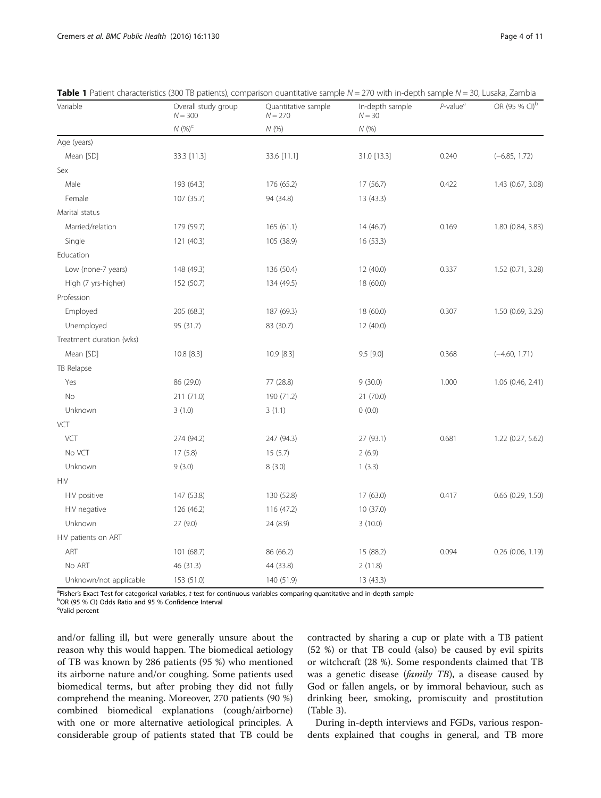| Variable                 | Overall study group<br>$N = 300$ | Quantitative sample<br>$N = 270$ | In-depth sample<br>$N = 30$ | $P$ -value <sup>a</sup> | OR (95 % CI) <sup>b</sup> |
|--------------------------|----------------------------------|----------------------------------|-----------------------------|-------------------------|---------------------------|
|                          | $N(96)^c$                        | N(%)                             | N(96)                       |                         |                           |
| Age (years)              |                                  |                                  |                             |                         |                           |
| Mean [SD]                | 33.3 [11.3]                      | 33.6 [11.1]                      | 31.0 [13.3]                 | 0.240                   | $(-6.85, 1.72)$           |
| Sex                      |                                  |                                  |                             |                         |                           |
| Male                     | 193 (64.3)                       | 176 (65.2)                       | 17 (56.7)                   | 0.422                   | 1.43 (0.67, 3.08)         |
| Female                   | 107 (35.7)                       | 94 (34.8)                        | 13 (43.3)                   |                         |                           |
| Marital status           |                                  |                                  |                             |                         |                           |
| Married/relation         | 179 (59.7)                       | 165 (61.1)                       | 14 (46.7)                   | 0.169                   | 1.80 (0.84, 3.83)         |
| Single                   | 121 (40.3)                       | 105 (38.9)                       | 16 (53.3)                   |                         |                           |
| Education                |                                  |                                  |                             |                         |                           |
| Low (none-7 years)       | 148 (49.3)                       | 136 (50.4)                       | 12 (40.0)                   | 0.337                   | 1.52 (0.71, 3.28)         |
| High (7 yrs-higher)      | 152 (50.7)                       | 134 (49.5)                       | 18 (60.0)                   |                         |                           |
| Profession               |                                  |                                  |                             |                         |                           |
| Employed                 | 205 (68.3)                       | 187 (69.3)                       | 18 (60.0)                   | 0.307                   | 1.50 (0.69, 3.26)         |
| Unemployed               | 95 (31.7)                        | 83 (30.7)                        | 12 (40.0)                   |                         |                           |
| Treatment duration (wks) |                                  |                                  |                             |                         |                           |
| Mean [SD]                | 10.8 [8.3]                       | 10.9 [8.3]                       | 9.5 [9.0]                   | 0.368                   | $(-4.60, 1.71)$           |
| TB Relapse               |                                  |                                  |                             |                         |                           |
| Yes                      | 86 (29.0)                        | 77 (28.8)                        | 9(30.0)                     | 1.000                   | 1.06 (0.46, 2.41)         |
| No                       | 211 (71.0)                       | 190 (71.2)                       | 21 (70.0)                   |                         |                           |
| Unknown                  | 3(1.0)                           | 3(1.1)                           | 0(0.0)                      |                         |                           |
| VCT                      |                                  |                                  |                             |                         |                           |
| VCT                      | 274 (94.2)                       | 247 (94.3)                       | 27 (93.1)                   | 0.681                   | 1.22 (0.27, 5.62)         |
| No VCT                   | 17(5.8)                          | 15(5.7)                          | 2(6.9)                      |                         |                           |
| Unknown                  | 9(3.0)                           | 8(3.0)                           | 1(3.3)                      |                         |                           |
| <b>HIV</b>               |                                  |                                  |                             |                         |                           |
| HIV positive             | 147 (53.8)                       | 130 (52.8)                       | 17(63.0)                    | 0.417                   | $0.66$ $(0.29, 1.50)$     |
| HIV negative             | 126 (46.2)                       | 116 (47.2)                       | 10 (37.0)                   |                         |                           |
| Unknown                  | 27 (9.0)                         | 24 (8.9)                         | 3(10.0)                     |                         |                           |
| HIV patients on ART      |                                  |                                  |                             |                         |                           |
| ART                      | 101 (68.7)                       | 86 (66.2)                        | 15 (88.2)                   | 0.094                   | 0.26 (0.06, 1.19)         |
| No ART                   | 46 (31.3)                        | 44 (33.8)                        | 2(11.8)                     |                         |                           |
| Unknown/not applicable   | 153 (51.0)                       | 140 (51.9)                       | 13 (43.3)                   |                         |                           |

<span id="page-3-0"></span>

|  |  |  |  |  | Table 1 Patient characteristics (300 TB patients), comparison quantitative sample N = 270 with in-depth sample N = 30, Lusaka, Zambia |  |
|--|--|--|--|--|---------------------------------------------------------------------------------------------------------------------------------------|--|
|--|--|--|--|--|---------------------------------------------------------------------------------------------------------------------------------------|--|

a Fisher's Exact Test for categorical variables, t-test for continuous variables comparing quantitative and in-depth sample<br>POP (OF 04 CL) Odde Patio and 05 % Confidence Interval

OR (95 % CI) Odds Ratio and 95 % Confidence Interval

<sup>c</sup>Valid percent

and/or falling ill, but were generally unsure about the reason why this would happen. The biomedical aetiology of TB was known by 286 patients (95 %) who mentioned its airborne nature and/or coughing. Some patients used biomedical terms, but after probing they did not fully comprehend the meaning. Moreover, 270 patients (90 %) combined biomedical explanations (cough/airborne) with one or more alternative aetiological principles. A considerable group of patients stated that TB could be contracted by sharing a cup or plate with a TB patient (52 %) or that TB could (also) be caused by evil spirits or witchcraft (28 %). Some respondents claimed that TB was a genetic disease (family TB), a disease caused by God or fallen angels, or by immoral behaviour, such as drinking beer, smoking, promiscuity and prostitution (Table [3\)](#page-5-0).

During in-depth interviews and FGDs, various respondents explained that coughs in general, and TB more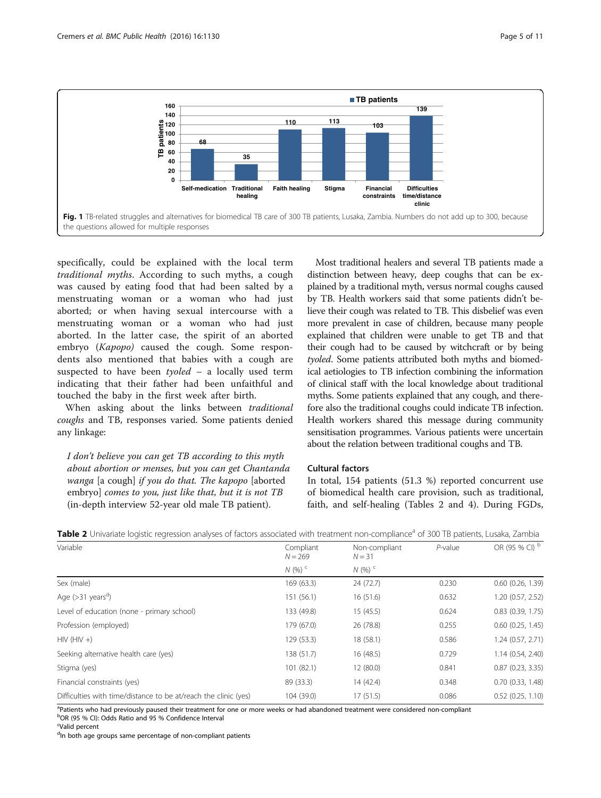<span id="page-4-0"></span>

specifically, could be explained with the local term traditional myths. According to such myths, a cough was caused by eating food that had been salted by a menstruating woman or a woman who had just aborted; or when having sexual intercourse with a menstruating woman or a woman who had just aborted. In the latter case, the spirit of an aborted embryo (Kapopo) caused the cough. Some respondents also mentioned that babies with a cough are suspected to have been  $t$ *yoled* – a locally used term indicating that their father had been unfaithful and touched the baby in the first week after birth.

When asking about the links between traditional coughs and TB, responses varied. Some patients denied any linkage:

I don't believe you can get TB according to this myth about abortion or menses, but you can get Chantanda wanga [a cough] if you do that. The kapopo [aborted embryo] comes to you, just like that, but it is not TB (in-depth interview 52-year old male TB patient).

Most traditional healers and several TB patients made a distinction between heavy, deep coughs that can be explained by a traditional myth, versus normal coughs caused by TB. Health workers said that some patients didn't believe their cough was related to TB. This disbelief was even more prevalent in case of children, because many people explained that children were unable to get TB and that their cough had to be caused by witchcraft or by being tyoled. Some patients attributed both myths and biomedical aetiologies to TB infection combining the information of clinical staff with the local knowledge about traditional myths. Some patients explained that any cough, and therefore also the traditional coughs could indicate TB infection. Health workers shared this message during community sensitisation programmes. Various patients were uncertain about the relation between traditional coughs and TB.

# Cultural factors

In total, 154 patients (51.3 %) reported concurrent use of biomedical health care provision, such as traditional, faith, and self-healing (Tables 2 and [4](#page-5-0)). During FGDs,

| Variable                                                        | Compliant<br>$N = 269$ | Non-compliant<br>$N = 31$ | $P$ -value | OR (95 % CI) b        |
|-----------------------------------------------------------------|------------------------|---------------------------|------------|-----------------------|
|                                                                 | $N(96)$ <sup>c</sup>   | N(96)                     |            |                       |
| Sex (male)                                                      | 169 (63.3)             | 24 (72.7)                 | 0.230      | $0.60$ $(0.26, 1.39)$ |
| Age $(>31 \text{ years}^d)$                                     | 151(56.1)              | 16(51.6)                  | 0.632      | 1.20 (0.57, 2.52)     |
| Level of education (none - primary school)                      | 133 (49.8)             | 15(45.5)                  | 0.624      | $0.83$ $(0.39, 1.75)$ |
| Profession (employed)                                           | 179 (67.0)             | 26 (78.8)                 | 0.255      | $0.60$ $(0.25, 1.45)$ |
| $HIV$ ( $HIV +$ )                                               | 129 (53.3)             | 18 (58.1)                 | 0.586      | 1.24 (0.57, 2.71)     |
| Seeking alternative health care (yes)                           | 138 (51.7)             | 16(48.5)                  | 0.729      | 1.14(0.54, 2.40)      |
| Stigma (yes)                                                    | 101 (82.1)             | 12(80.0)                  | 0.841      | $0.87$ $(0.23, 3.35)$ |
| Financial constraints (yes)                                     | 89 (33.3)              | 14 (42.4)                 | 0.348      | $0.70$ $(0.33, 1.48)$ |
| Difficulties with time/distance to be at/reach the clinic (yes) | 104 (39.0)             | 17(51.5)                  | 0.086      | $0.52$ $(0.25, 1.10)$ |

Table 2 Univariate logistic regression analyses of factors associated with treatment non-compliance<sup>a</sup> of 300 TB patients, Lusaka, Zambia

<sup>a</sup>Patients who had previously paused their treatment for one or more weeks or had abandoned treatment were considered non-compliant

b OR (95 % CI): Odds Ratio and 95 % Confidence Interval

<sup>d</sup>In both age groups same percentage of non-compliant patients

<sup>&</sup>lt;sup>c</sup>Valid percent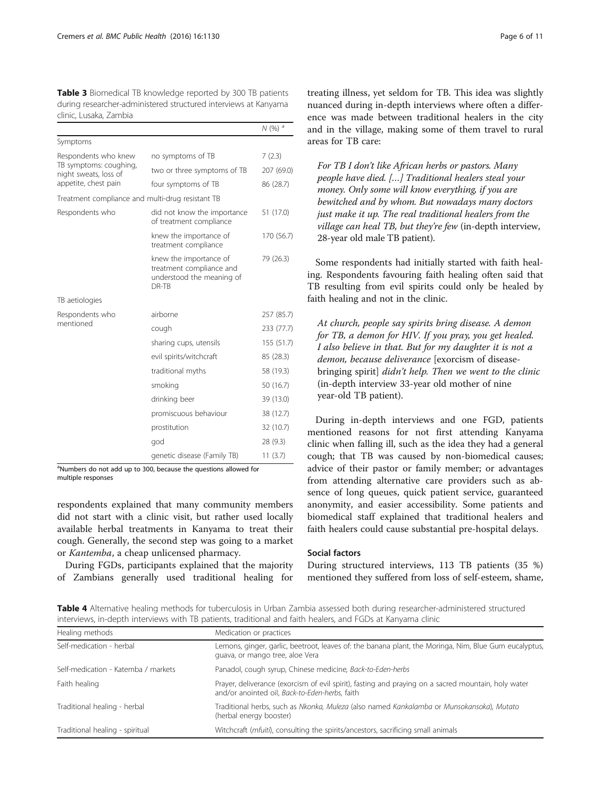<span id="page-5-0"></span>Table 3 Biomedical TB knowledge reported by 300 TB patients during researcher-administered structured interviews at Kanyama clinic, Lusaka, Zambia

|                                                  |                                                                                          | $N(%)$ <sup>a</sup> |
|--------------------------------------------------|------------------------------------------------------------------------------------------|---------------------|
| Symptoms                                         |                                                                                          |                     |
| Respondents who knew                             | no symptoms of TB                                                                        | 7(2.3)              |
| TB symptoms: coughing,<br>night sweats, loss of  | two or three symptoms of TB                                                              | 207 (69.0)          |
| appetite, chest pain                             | four symptoms of TB                                                                      | 86 (28.7)           |
| Treatment compliance and multi-drug resistant TB |                                                                                          |                     |
| Respondents who                                  | did not know the importance<br>of treatment compliance                                   | 51 (17.0)           |
|                                                  | knew the importance of<br>treatment compliance                                           | 170 (56.7)          |
|                                                  | knew the importance of<br>treatment compliance and<br>understood the meaning of<br>DR-TB | 79 (26.3)           |
| TB aetiologies                                   |                                                                                          |                     |
| Respondents who                                  | airborne                                                                                 | 257 (85.7)          |
| mentioned                                        | cough                                                                                    | 233 (77.7)          |
|                                                  | sharing cups, utensils                                                                   | 155 (51.7)          |
|                                                  | evil spirits/witchcraft                                                                  | 85 (28.3)           |
|                                                  | traditional myths                                                                        | 58 (19.3)           |
|                                                  | smoking                                                                                  | 50 (16.7)           |
|                                                  | drinking beer                                                                            | 39 (13.0)           |
|                                                  | promiscuous behaviour                                                                    | 38 (12.7)           |
|                                                  | prostitution                                                                             | 32 (10.7)           |
|                                                  | god                                                                                      | 28 (9.3)            |
|                                                  | genetic disease (Family TB)                                                              | 11(3.7)             |

<sup>a</sup>Numbers do not add up to 300, because the questions allowed for multiple responses

respondents explained that many community members did not start with a clinic visit, but rather used locally available herbal treatments in Kanyama to treat their cough. Generally, the second step was going to a market or Kantemba, a cheap unlicensed pharmacy.

During FGDs, participants explained that the majority of Zambians generally used traditional healing for

treating illness, yet seldom for TB. This idea was slightly nuanced during in-depth interviews where often a difference was made between traditional healers in the city and in the village, making some of them travel to rural areas for TB care:

For TB I don't like African herbs or pastors. Many people have died. […] Traditional healers steal your money. Only some will know everything, if you are bewitched and by whom. But nowadays many doctors just make it up. The real traditional healers from the village can heal TB, but they're few (in-depth interview, 28-year old male TB patient).

Some respondents had initially started with faith healing. Respondents favouring faith healing often said that TB resulting from evil spirits could only be healed by faith healing and not in the clinic.

At church, people say spirits bring disease. A demon for TB, a demon for HIV. If you pray, you get healed. I also believe in that. But for my daughter it is not a demon, because deliverance [exorcism of diseasebringing spirit] didn't help. Then we went to the clinic (in-depth interview 33-year old mother of nine year-old TB patient).

During in-depth interviews and one FGD, patients mentioned reasons for not first attending Kanyama clinic when falling ill, such as the idea they had a general cough; that TB was caused by non-biomedical causes; advice of their pastor or family member; or advantages from attending alternative care providers such as absence of long queues, quick patient service, guaranteed anonymity, and easier accessibility. Some patients and biomedical staff explained that traditional healers and faith healers could cause substantial pre-hospital delays.

### Social factors

During structured interviews, 113 TB patients (35 %) mentioned they suffered from loss of self-esteem, shame,

Table 4 Alternative healing methods for tuberculosis in Urban Zambia assessed both during researcher-administered structured interviews, in-depth interviews with TB patients, traditional and faith healers, and FGDs at Kanyama clinic

| Healing methods                     | Medication or practices                                                                                                                               |  |  |  |
|-------------------------------------|-------------------------------------------------------------------------------------------------------------------------------------------------------|--|--|--|
| Self-medication - herbal            | Lemons, ginger, garlic, beetroot, leaves of: the banana plant, the Moringa, Nim, Blue Gum eucalyptus,<br>guava, or mango tree, aloe Vera              |  |  |  |
| Self-medication - Katemba / markets | Panadol, cough syrup, Chinese medicine, Back-to-Eden-herbs                                                                                            |  |  |  |
| Faith healing                       | Prayer, deliverance (exorcism of evil spirit), fasting and praying on a sacred mountain, holy water<br>and/or anointed oil, Back-to-Eden-herbs, faith |  |  |  |
| Traditional healing - herbal        | Traditional herbs, such as Nkonka, Muleza (also named Kankalamba or Munsokansoka), Mutato<br>(herbal energy booster)                                  |  |  |  |
| Traditional healing - spiritual     | Witchcraft (mfuiti), consulting the spirits/ancestors, sacrificing small animals                                                                      |  |  |  |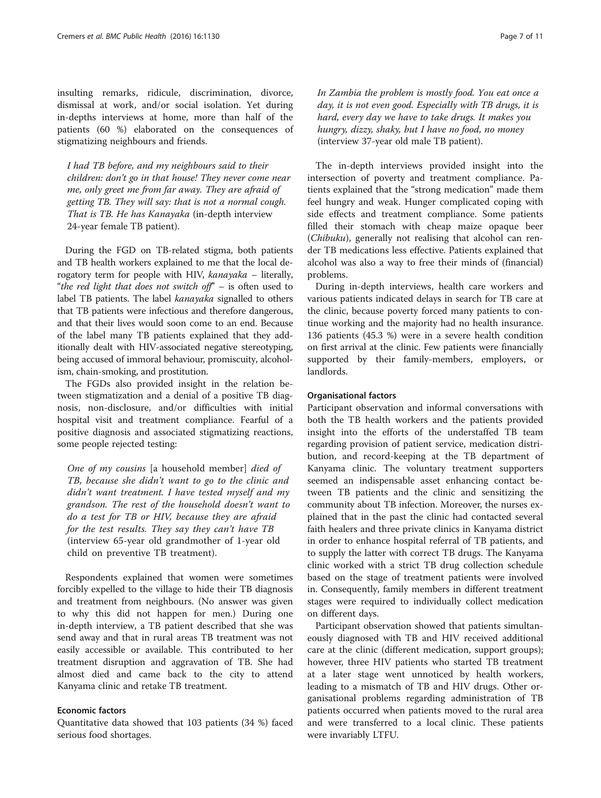insulting remarks, ridicule, discrimination, divorce, dismissal at work, and/or social isolation. Yet during in-depths interviews at home, more than half of the patients (60 %) elaborated on the consequences of stigmatizing neighbours and friends.

I had TB before, and my neighbours said to their children: don't go in that house! They never come near me, only greet me from far away. They are afraid of getting TB. They will say: that is not a normal cough. That is TB. He has Kanayaka (in-depth interview 24-year female TB patient).

During the FGD on TB-related stigma, both patients and TB health workers explained to me that the local derogatory term for people with HIV, kanayaka – literally, "the red light that does not switch off" – is often used to label TB patients. The label kanayaka signalled to others that TB patients were infectious and therefore dangerous, and that their lives would soon come to an end. Because of the label many TB patients explained that they additionally dealt with HIV-associated negative stereotyping, being accused of immoral behaviour, promiscuity, alcoholism, chain-smoking, and prostitution.

The FGDs also provided insight in the relation between stigmatization and a denial of a positive TB diagnosis, non-disclosure, and/or difficulties with initial hospital visit and treatment compliance. Fearful of a positive diagnosis and associated stigmatizing reactions, some people rejected testing:

One of my cousins [a household member] died of TB, because she didn't want to go to the clinic and didn't want treatment. I have tested myself and my grandson. The rest of the household doesn't want to do a test for TB or HIV, because they are afraid for the test results. They say they can't have TB (interview 65-year old grandmother of 1-year old child on preventive TB treatment).

Respondents explained that women were sometimes forcibly expelled to the village to hide their TB diagnosis and treatment from neighbours. (No answer was given to why this did not happen for men.) During one in-depth interview, a TB patient described that she was send away and that in rural areas TB treatment was not easily accessible or available. This contributed to her treatment disruption and aggravation of TB. She had almost died and came back to the city to attend Kanyama clinic and retake TB treatment.

## Economic factors

Quantitative data showed that 103 patients (34 %) faced serious food shortages.

In Zambia the problem is mostly food. You eat once a day, it is not even good. Especially with TB drugs, it is hard, every day we have to take drugs. It makes you hungry, dizzy, shaky, but I have no food, no money (interview 37-year old male TB patient).

The in-depth interviews provided insight into the intersection of poverty and treatment compliance. Patients explained that the "strong medication" made them feel hungry and weak. Hunger complicated coping with side effects and treatment compliance. Some patients filled their stomach with cheap maize opaque beer (Chibuku), generally not realising that alcohol can render TB medications less effective. Patients explained that alcohol was also a way to free their minds of (financial) problems.

During in-depth interviews, health care workers and various patients indicated delays in search for TB care at the clinic, because poverty forced many patients to continue working and the majority had no health insurance. 136 patients (45.3 %) were in a severe health condition on first arrival at the clinic. Few patients were financially supported by their family-members, employers, or landlords.

#### Organisational factors

Participant observation and informal conversations with both the TB health workers and the patients provided insight into the efforts of the understaffed TB team regarding provision of patient service, medication distribution, and record-keeping at the TB department of Kanyama clinic. The voluntary treatment supporters seemed an indispensable asset enhancing contact between TB patients and the clinic and sensitizing the community about TB infection. Moreover, the nurses explained that in the past the clinic had contacted several faith healers and three private clinics in Kanyama district in order to enhance hospital referral of TB patients, and to supply the latter with correct TB drugs. The Kanyama clinic worked with a strict TB drug collection schedule based on the stage of treatment patients were involved in. Consequently, family members in different treatment stages were required to individually collect medication on different days.

Participant observation showed that patients simultaneously diagnosed with TB and HIV received additional care at the clinic (different medication, support groups); however, three HIV patients who started TB treatment at a later stage went unnoticed by health workers, leading to a mismatch of TB and HIV drugs. Other organisational problems regarding administration of TB patients occurred when patients moved to the rural area and were transferred to a local clinic. These patients were invariably LTFU.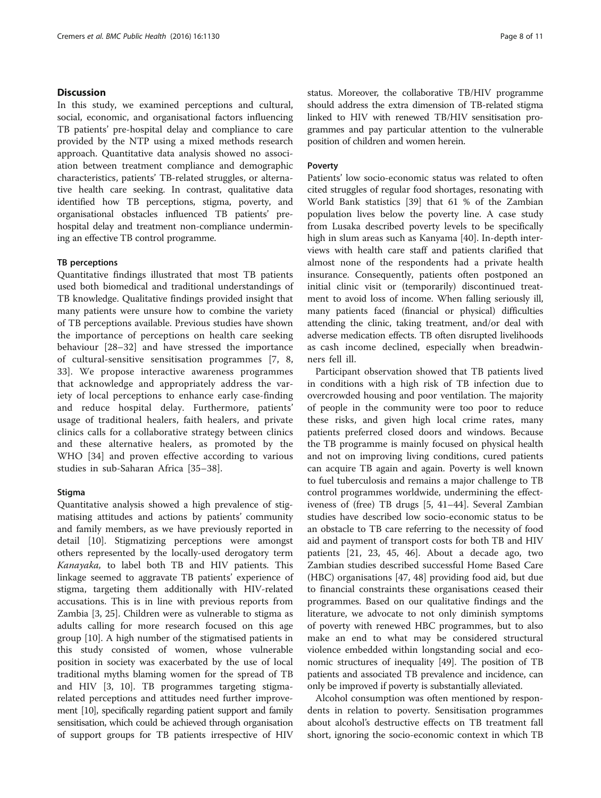## **Discussion**

In this study, we examined perceptions and cultural, social, economic, and organisational factors influencing TB patients' pre-hospital delay and compliance to care provided by the NTP using a mixed methods research approach. Quantitative data analysis showed no association between treatment compliance and demographic characteristics, patients' TB-related struggles, or alternative health care seeking. In contrast, qualitative data identified how TB perceptions, stigma, poverty, and organisational obstacles influenced TB patients' prehospital delay and treatment non-compliance undermining an effective TB control programme.

## TB perceptions

Quantitative findings illustrated that most TB patients used both biomedical and traditional understandings of TB knowledge. Qualitative findings provided insight that many patients were unsure how to combine the variety of TB perceptions available. Previous studies have shown the importance of perceptions on health care seeking behaviour [\[28](#page-9-0)–[32](#page-9-0)] and have stressed the importance of cultural-sensitive sensitisation programmes [\[7, 8](#page-9-0), [33\]](#page-9-0). We propose interactive awareness programmes that acknowledge and appropriately address the variety of local perceptions to enhance early case-finding and reduce hospital delay. Furthermore, patients' usage of traditional healers, faith healers, and private clinics calls for a collaborative strategy between clinics and these alternative healers, as promoted by the WHO [\[34](#page-9-0)] and proven effective according to various studies in sub-Saharan Africa [\[35](#page-9-0)–[38](#page-9-0)].

#### Stigma

Quantitative analysis showed a high prevalence of stigmatising attitudes and actions by patients' community and family members, as we have previously reported in detail [\[10](#page-9-0)]. Stigmatizing perceptions were amongst others represented by the locally-used derogatory term Kanayaka, to label both TB and HIV patients. This linkage seemed to aggravate TB patients' experience of stigma, targeting them additionally with HIV-related accusations. This is in line with previous reports from Zambia [[3, 25\]](#page-9-0). Children were as vulnerable to stigma as adults calling for more research focused on this age group [[10\]](#page-9-0). A high number of the stigmatised patients in this study consisted of women, whose vulnerable position in society was exacerbated by the use of local traditional myths blaming women for the spread of TB and HIV [[3](#page-9-0), [10\]](#page-9-0). TB programmes targeting stigmarelated perceptions and attitudes need further improvement [\[10\]](#page-9-0), specifically regarding patient support and family sensitisation, which could be achieved through organisation of support groups for TB patients irrespective of HIV

status. Moreover, the collaborative TB/HIV programme should address the extra dimension of TB-related stigma linked to HIV with renewed TB/HIV sensitisation programmes and pay particular attention to the vulnerable position of children and women herein.

## Poverty

Patients' low socio-economic status was related to often cited struggles of regular food shortages, resonating with World Bank statistics [\[39\]](#page-9-0) that 61 % of the Zambian population lives below the poverty line. A case study from Lusaka described poverty levels to be specifically high in slum areas such as Kanyama [\[40](#page-9-0)]. In-depth interviews with health care staff and patients clarified that almost none of the respondents had a private health insurance. Consequently, patients often postponed an initial clinic visit or (temporarily) discontinued treatment to avoid loss of income. When falling seriously ill, many patients faced (financial or physical) difficulties attending the clinic, taking treatment, and/or deal with adverse medication effects. TB often disrupted livelihoods as cash income declined, especially when breadwinners fell ill.

Participant observation showed that TB patients lived in conditions with a high risk of TB infection due to overcrowded housing and poor ventilation. The majority of people in the community were too poor to reduce these risks, and given high local crime rates, many patients preferred closed doors and windows. Because the TB programme is mainly focused on physical health and not on improving living conditions, cured patients can acquire TB again and again. Poverty is well known to fuel tuberculosis and remains a major challenge to TB control programmes worldwide, undermining the effectiveness of (free) TB drugs [[5](#page-9-0), [41](#page-9-0)–[44](#page-9-0)]. Several Zambian studies have described low socio-economic status to be an obstacle to TB care referring to the necessity of food aid and payment of transport costs for both TB and HIV patients [[21](#page-9-0), [23,](#page-9-0) [45](#page-10-0), [46](#page-10-0)]. About a decade ago, two Zambian studies described successful Home Based Care (HBC) organisations [[47, 48\]](#page-10-0) providing food aid, but due to financial constraints these organisations ceased their programmes. Based on our qualitative findings and the literature, we advocate to not only diminish symptoms of poverty with renewed HBC programmes, but to also make an end to what may be considered structural violence embedded within longstanding social and economic structures of inequality [[49](#page-10-0)]. The position of TB patients and associated TB prevalence and incidence, can only be improved if poverty is substantially alleviated.

Alcohol consumption was often mentioned by respondents in relation to poverty. Sensitisation programmes about alcohol's destructive effects on TB treatment fall short, ignoring the socio-economic context in which TB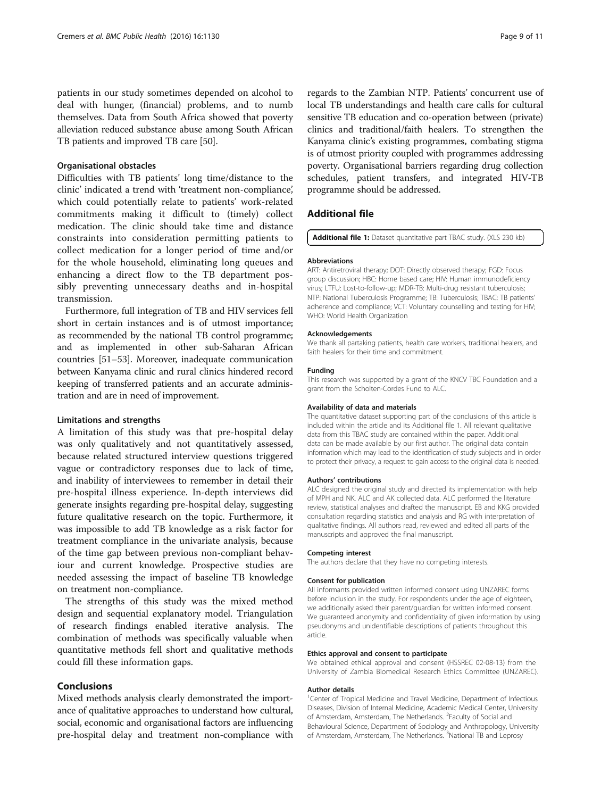patients in our study sometimes depended on alcohol to deal with hunger, (financial) problems, and to numb themselves. Data from South Africa showed that poverty alleviation reduced substance abuse among South African TB patients and improved TB care [\[50\]](#page-10-0).

#### Organisational obstacles

Difficulties with TB patients' long time/distance to the clinic' indicated a trend with 'treatment non-compliance', which could potentially relate to patients' work-related commitments making it difficult to (timely) collect medication. The clinic should take time and distance constraints into consideration permitting patients to collect medication for a longer period of time and/or for the whole household, eliminating long queues and enhancing a direct flow to the TB department possibly preventing unnecessary deaths and in-hospital transmission.

Furthermore, full integration of TB and HIV services fell short in certain instances and is of utmost importance; as recommended by the national TB control programme; and as implemented in other sub-Saharan African countries [[51](#page-10-0)–[53\]](#page-10-0). Moreover, inadequate communication between Kanyama clinic and rural clinics hindered record keeping of transferred patients and an accurate administration and are in need of improvement.

#### Limitations and strengths

A limitation of this study was that pre-hospital delay was only qualitatively and not quantitatively assessed, because related structured interview questions triggered vague or contradictory responses due to lack of time, and inability of interviewees to remember in detail their pre-hospital illness experience. In-depth interviews did generate insights regarding pre-hospital delay, suggesting future qualitative research on the topic. Furthermore, it was impossible to add TB knowledge as a risk factor for treatment compliance in the univariate analysis, because of the time gap between previous non-compliant behaviour and current knowledge. Prospective studies are needed assessing the impact of baseline TB knowledge on treatment non-compliance.

The strengths of this study was the mixed method design and sequential explanatory model. Triangulation of research findings enabled iterative analysis. The combination of methods was specifically valuable when quantitative methods fell short and qualitative methods could fill these information gaps.

## Conclusions

Mixed methods analysis clearly demonstrated the importance of qualitative approaches to understand how cultural, social, economic and organisational factors are influencing pre-hospital delay and treatment non-compliance with

regards to the Zambian NTP. Patients' concurrent use of local TB understandings and health care calls for cultural sensitive TB education and co-operation between (private) clinics and traditional/faith healers. To strengthen the Kanyama clinic's existing programmes, combating stigma is of utmost priority coupled with programmes addressing poverty. Organisational barriers regarding drug collection schedules, patient transfers, and integrated HIV-TB programme should be addressed.

## Additional file

[Additional file 1:](dx.doi.org/10.1186/s12889-016-3771-9) Dataset quantitative part TBAC study. (XLS 230 kb)

#### Abbreviations

ART: Antiretroviral therapy; DOT: Directly observed therapy; FGD: Focus group discussion; HBC: Home based care; HIV: Human immunodeficiency virus; LTFU: Lost-to-follow-up; MDR-TB: Multi-drug resistant tuberculosis; NTP: National Tuberculosis Programme; TB: Tuberculosis; TBAC: TB patients' adherence and compliance; VCT: Voluntary counselling and testing for HIV; WHO: World Health Organization

#### Acknowledgements

We thank all partaking patients, health care workers, traditional healers, and faith healers for their time and commitment.

#### Funding

This research was supported by a grant of the KNCV TBC Foundation and a grant from the Scholten-Cordes Fund to ALC.

#### Availability of data and materials

The quantitative dataset supporting part of the conclusions of this article is included within the article and its Additional file 1. All relevant qualitative data from this TBAC study are contained within the paper. Additional data can be made available by our first author. The original data contain information which may lead to the identification of study subjects and in order to protect their privacy, a request to gain access to the original data is needed.

#### Authors' contributions

ALC designed the original study and directed its implementation with help of MPH and NK. ALC and AK collected data. ALC performed the literature review, statistical analyses and drafted the manuscript. EB and KKG provided consultation regarding statistics and analysis and RG with interpretation of qualitative findings. All authors read, reviewed and edited all parts of the manuscripts and approved the final manuscript.

#### Competing interest

The authors declare that they have no competing interests.

#### Consent for publication

All informants provided written informed consent using UNZAREC forms before inclusion in the study. For respondents under the age of eighteen, we additionally asked their parent/guardian for written informed consent. We guaranteed anonymity and confidentiality of given information by using pseudonyms and unidentifiable descriptions of patients throughout this article.

#### Ethics approval and consent to participate

We obtained ethical approval and consent (HSSREC 02-08-13) from the University of Zambia Biomedical Research Ethics Committee (UNZAREC).

#### Author details

<sup>1</sup> Center of Tropical Medicine and Travel Medicine, Department of Infectious Diseases, Division of Internal Medicine, Academic Medical Center, University of Amsterdam, Amsterdam, The Netherlands. <sup>2</sup> Faculty of Social and Behavioural Science, Department of Sociology and Anthropology, University of Amsterdam, Amsterdam, The Netherlands.<sup>3</sup>National TB and Leprosy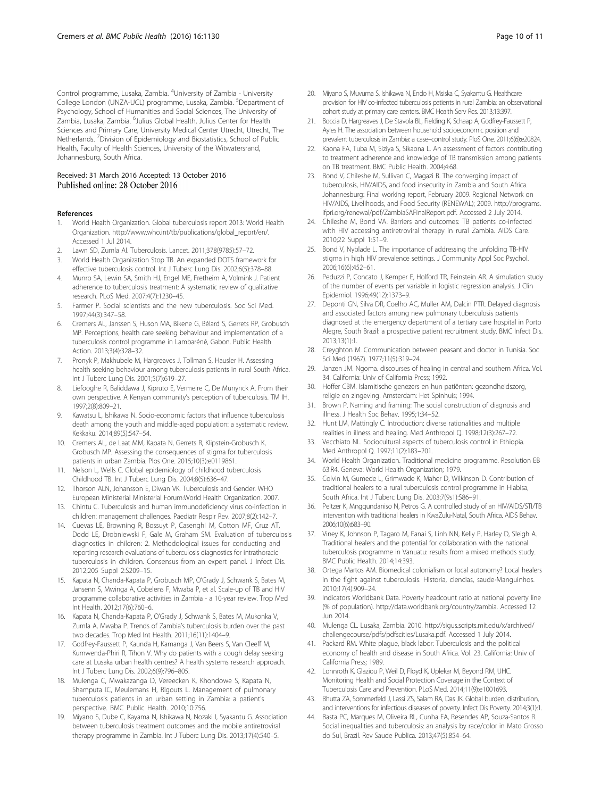<span id="page-9-0"></span>Control programme, Lusaka, Zambia. <sup>4</sup>University of Zambia - University College London (UNZA-UCL) programme, Lusaka, Zambia. <sup>5</sup>Department of Psychology, School of Humanities and Social Sciences, The University of Zambia, Lusaka, Zambia. <sup>6</sup>Julius Global Health, Julius Center for Health Sciences and Primary Care, University Medical Center Utrecht, Utrecht, The Netherlands. <sup>7</sup> Division of Epidemiology and Biostatistics, School of Public Health, Faculty of Health Sciences, University of the Witwatersrand, Johannesburg, South Africa.

# Received: 31 March 2016 Accepted: 13 October 2016<br>Published online: 28 October 2016

#### References

- 1. World Health Organization. Global tuberculosis report 2013: World Health Organization. [http://www.who.int/tb/publications/global\\_report/en/.](http://www.who.int/tb/publications/global_report/en/) Accessed 1 Jul 2014.
- 2. Lawn SD, Zumla AI. Tuberculosis. Lancet. 2011;378(9785):57–72.
- 3. World Health Organization Stop TB. An expanded DOTS framework for effective tuberculosis control. Int J Tuberc Lung Dis. 2002;6(5):378–88.
- 4. Munro SA, Lewin SA, Smith HJ, Engel ME, Fretheim A, Volmink J. Patient adherence to tuberculosis treatment: A systematic review of qualitative research. PLoS Med. 2007;4(7):1230–45.
- 5. Farmer P. Social scientists and the new tuberculosis. Soc Sci Med. 1997;44(3):347–58.
- 6. Cremers AL, Janssen S, Huson MA, Bikene G, Bélard S, Gerrets RP, Grobusch MP. Perceptions, health care seeking behaviour and implementation of a tuberculosis control programme in Lambaréné, Gabon. Public Health Action. 2013;3(4):328–32.
- 7. Pronyk P, Makhubele M, Hargreaves J, Tollman S, Hausler H. Assessing health seeking behaviour among tuberculosis patients in rural South Africa. Int J Tuberc Lung Dis. 2001;5(7):619–27.
- 8. Liefooghe R, Baliddawa J, Kipruto E, Vermeire C, De Munynck A. From their own perspective. A Kenyan community's perception of tuberculosis. TM IH. 1997;2(8):809–21.
- 9. Kawatsu L, Ishikawa N. Socio-economic factors that influence tuberculosis death among the youth and middle-aged population: a systematic review. Kekkaku. 2014;89(5):547–54.
- 10. Cremers AL, de Laat MM, Kapata N, Gerrets R, Klipstein-Grobusch K, Grobusch MP. Assessing the consequences of stigma for tuberculosis patients in urban Zambia. Plos One. 2015;10(3):e0119861.
- 11. Nelson L, Wells C. Global epidemiology of childhood tuberculosis Childhood TB. Int J Tuberc Lung Dis. 2004;8(5):636–47.
- 12. Thorson ALN, Johansson E, Diwan VK. Tuberculosis and Gender. WHO European Ministerial Ministerial Forum:World Health Organization. 2007.
- 13. Chintu C. Tuberculosis and human immunodeficiency virus co-infection in children: management challenges. Paediatr Respir Rev. 2007;8(2):142–7.
- 14. Cuevas LE, Browning R, Bossuyt P, Casenghi M, Cotton MF, Cruz AT, Dodd LE, Drobniewski F, Gale M, Graham SM. Evaluation of tuberculosis diagnostics in children: 2. Methodological issues for conducting and reporting research evaluations of tuberculosis diagnostics for intrathoracic tuberculosis in children. Consensus from an expert panel. J Infect Dis. 2012;205 Suppl 2:S209–15.
- 15. Kapata N, Chanda-Kapata P, Grobusch MP, O'Grady J, Schwank S, Bates M, Jansenn S, Mwinga A, Cobelens F, Mwaba P, et al. Scale-up of TB and HIV programme collaborative activities in Zambia - a 10-year review. Trop Med Int Health. 2012;17(6):760–6.
- 16. Kapata N, Chanda-Kapata P, O'Grady J, Schwank S, Bates M, Mukonka V, Zumla A, Mwaba P. Trends of Zambia's tuberculosis burden over the past two decades. Trop Med Int Health. 2011;16(11):1404–9.
- 17. Godfrey-Faussett P, Kaunda H, Kamanga J, Van Beers S, Van Cleeff M, Kumwenda-Phiri R, Tihon V. Why do patients with a cough delay seeking care at Lusaka urban health centres? A health systems research approach. Int J Tuberc Lung Dis. 2002;6(9):796–805.
- 18. Mulenga C, Mwakazanga D, Vereecken K, Khondowe S, Kapata N, Shamputa IC, Meulemans H, Rigouts L. Management of pulmonary tuberculosis patients in an urban setting in Zambia: a patient's perspective. BMC Public Health. 2010;10:756.
- 19. Miyano S, Dube C, Kayama N, Ishikawa N, Nozaki I, Syakantu G. Association between tuberculosis treatment outcomes and the mobile antiretroviral therapy programme in Zambia. Int J Tuberc Lung Dis. 2013;17(4):540–5.
- 20. Miyano S, Muvuma S, Ishikawa N, Endo H, Msiska C, Syakantu G. Healthcare provision for HIV co-infected tuberculosis patients in rural Zambia: an observational cohort study at primary care centers. BMC Health Serv Res. 2013;13:397.
- 21. Boccia D, Hargreaves J, De Stavola BL, Fielding K, Schaap A, Godfrey-Faussett P, Ayles H. The association between household socioeconomic position and prevalent tuberculosis in Zambia: a case–control study. PloS One. 2011;6(6):e20824.
- 22. Kaona FA, Tuba M, Siziya S, Sikaona L. An assessment of factors contributing to treatment adherence and knowledge of TB transmission among patients on TB treatment. BMC Public Health. 2004;4:68.
- 23. Bond V, Chileshe M, Sullivan C, Magazi B. The converging impact of tuberculosis, HIV/AIDS, and food insecurity in Zambia and South Africa. Johannesburg: Final working report, February 2009. Regional Network on HIV/AIDS, Livelihoods, and Food Security (RENEWAL); 2009. [http://programs.](http://programs.ifpri.org/renewal/pdf/ZambiaSAFinalReport.pdf) [ifpri.org/renewal/pdf/ZambiaSAFinalReport.pdf](http://programs.ifpri.org/renewal/pdf/ZambiaSAFinalReport.pdf). Accessed 2 July 2014.
- 24. Chileshe M, Bond VA. Barriers and outcomes: TB patients co-infected with HIV accessing antiretroviral therapy in rural Zambia. AIDS Care. 2010;22 Suppl 1:51–9.
- 25. Bond V, Nyblade L. The importance of addressing the unfolding TB-HIV stigma in high HIV prevalence settings. J Community Appl Soc Psychol. 2006;16(6):452–61.
- 26. Peduzzi P, Concato J, Kemper E, Holford TR, Feinstein AR. A simulation study of the number of events per variable in logistic regression analysis. J Clin Epidemiol. 1996;49(12):1373–9.
- 27. Deponti GN, Silva DR, Coelho AC, Muller AM, Dalcin PTR. Delayed diagnosis and associated factors among new pulmonary tuberculosis patients diagnosed at the emergency department of a tertiary care hospital in Porto Alegre, South Brazil: a prospective patient recruitment study. BMC Infect Dis. 2013;13(1):1.
- 28. Creyghton M. Communication between peasant and doctor in Tunisia. Soc Sci Med (1967). 1977;11(5):319–24.
- 29. Janzen JM. Ngoma. discourses of healing in central and southern Africa. Vol. 34. California: Univ of California Press; 1992.
- 30. Hoffer CBM. Islamitische genezers en hun patiënten: gezondheidszorg, religie en zingeving. Amsterdam: Het Spinhuis; 1994.
- 31. Brown P. Naming and framing: The social construction of diagnosis and illness. J Health Soc Behav. 1995;1:34–52.
- 32. Hunt LM, Mattingly C. Introduction: diverse rationalities and multiple realities in illness and healing. Med Anthropol Q. 1998;12(3):267–72.
- 33. Vecchiato NL. Sociocultural aspects of tuberculosis control in Ethiopia. Med Anthropol Q. 1997;11(2):183–201.
- 34. World Health Organization. Traditional medicine programme. Resolution EB 63.R4. Geneva: World Health Organization; 1979.
- 35. Colvin M, Gumede L, Grimwade K, Maher D, Wilkinson D. Contribution of traditional healers to a rural tuberculosis control programme in Hlabisa, South Africa. Int J Tuberc Lung Dis. 2003;7(9s1):S86–91.
- 36. Peltzer K, Mngqundaniso N, Petros G. A controlled study of an HIV/AIDS/STI/TB intervention with traditional healers in KwaZulu-Natal, South Africa. AIDS Behav. 2006;10(6):683–90.
- 37. Viney K, Johnson P, Tagaro M, Fanai S, Linh NN, Kelly P, Harley D, Sleigh A. Traditional healers and the potential for collaboration with the national tuberculosis programme in Vanuatu: results from a mixed methods study. BMC Public Health. 2014;14:393.
- 38. Ortega Martos AM. Biomedical colonialism or local autonomy? Local healers in the fight against tuberculosis. Historia, ciencias, saude-Manguinhos. 2010;17(4):909–24.
- 39. Indicators Worldbank Data. Poverty headcount ratio at national poverty line (% of population). [http://data.worldbank.org/country/zambia.](http://data.worldbank.org/country/zambia) Accessed 12 Jun 2014.
- 40. Mulenga CL. Lusaka, Zambia. 2010. [http://sigus.scripts.mit.edu/x/archived/](http://sigus.scripts.mit.edu/x/archived/challengecourse/pdfs/pdfscities/Lusaka.pdf) [challengecourse/pdfs/pdfscities/Lusaka.pdf](http://sigus.scripts.mit.edu/x/archived/challengecourse/pdfs/pdfscities/Lusaka.pdf). Accessed 1 July 2014.
- 41. Packard RM. White plague, black labor: Tuberculosis and the political economy of health and disease in South Africa. Vol. 23. California: Univ of California Press; 1989.
- 42. Lonnroth K, Glaziou P, Weil D, Floyd K, Uplekar M, Beyond RM, UHC. Monitoring Health and Social Protection Coverage in the Context of Tuberculosis Care and Prevention. PLoS Med. 2014;11(9):e1001693.
- 43. Bhutta ZA, Sommerfeld J, Lassi ZS, Salam RA, Das JK. Global burden, distribution, and interventions for infectious diseases of poverty. Infect Dis Poverty. 2014;3(1):1.
- 44. Basta PC, Marques M, Oliveira RL, Cunha EA, Resendes AP, Souza-Santos R. Social inequalities and tuberculosis: an analysis by race/color in Mato Grosso do Sul, Brazil. Rev Saude Publica. 2013;47(5):854–64.